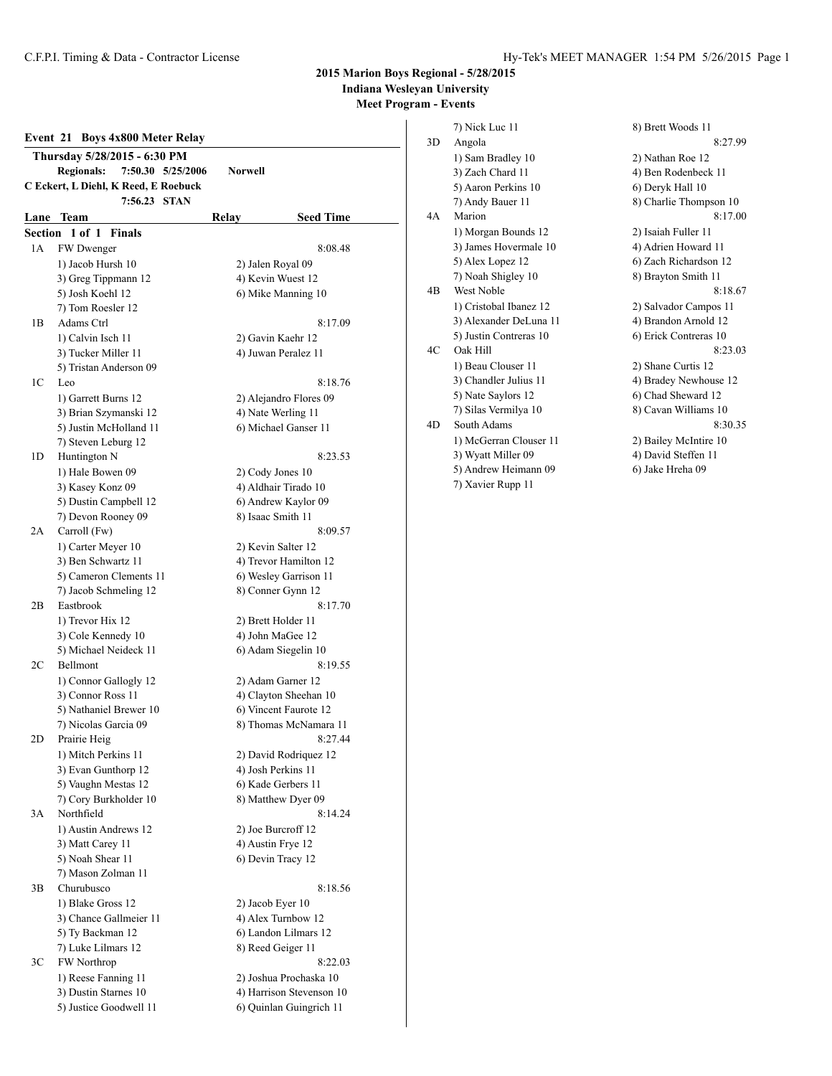# **2015 Marion Boys Regional - 5/28/2015 Indiana Wesleyan University**

**Meet Program - Events**

| Thursday 5/28/2015 - 6:30 PM<br><b>Regionals:</b><br>7:50.30 5/25/2006<br>Norwell<br>C Eckert, L Diehl, K Reed, E Roebuck<br>7:56.23 STAN<br>Relay<br><b>Seed Time</b><br>Lane Team<br>Section<br>1 of 1<br><b>Finals</b><br>1 A<br>FW Dwenger<br>8:08.48<br>1) Jacob Hursh 10<br>2) Jalen Royal 09<br>4) Kevin Wuest 12<br>3) Greg Tippmann 12<br>5) Josh Koehl 12<br>6) Mike Manning 10<br>7) Tom Roesler 12<br>Adams Ctrl<br>1B<br>1) Calvin Isch 11<br>2) Gavin Kaehr 12<br>4) Juwan Peralez 11<br>3) Tucker Miller 11<br>5) Tristan Anderson 09<br>1C<br>Leo<br>1) Garrett Burns 12<br>2) Alejandro Flores 09<br>4) Nate Werling 11<br>3) Brian Szymanski 12<br>5) Justin McHolland 11<br>6) Michael Ganser 11<br>7) Steven Leburg 12<br>Huntington N<br>1D<br>8:23.53<br>1) Hale Bowen 09<br>2) Cody Jones 10<br>3) Kasey Konz 09<br>4) Aldhair Tirado 10<br>5) Dustin Campbell 12<br>6) Andrew Kaylor 09<br>7) Devon Rooney 09<br>8) Isaac Smith 11<br>2A<br>Carroll (Fw)<br>8:09.57<br>1) Carter Meyer 10<br>2) Kevin Salter 12<br>3) Ben Schwartz 11<br>4) Trevor Hamilton 12<br>5) Cameron Clements 11<br>6) Wesley Garrison 11<br>8) Conner Gynn 12<br>7) Jacob Schmeling 12<br>2В<br>Eastbrook<br>1) Trevor Hix 12<br>2) Brett Holder 11<br>3) Cole Kennedy 10<br>4) John MaGee 12<br>5) Michael Neideck 11<br>6) Adam Siegelin 10<br>Bellmont<br>8:19.55<br>2C<br>1) Connor Gallogly 12<br>2) Adam Garner 12<br>3) Connor Ross 11<br>4) Clayton Sheehan 10<br>5) Nathaniel Brewer 10<br>6) Vincent Faurote 12<br>7) Nicolas Garcia 09<br>8) Thomas McNamara 11<br>Prairie Heig<br>8:27.44<br>2D<br>1) Mitch Perkins 11<br>2) David Rodriguez 12<br>3) Evan Gunthorp 12<br>4) Josh Perkins 11<br>5) Vaughn Mestas 12<br>6) Kade Gerbers 11<br>7) Cory Burkholder 10<br>8) Matthew Dyer 09<br>Northfield<br>3A<br>1) Austin Andrews 12<br>2) Joe Burcroff 12<br>3) Matt Carey 11<br>4) Austin Frye 12<br>5) Noah Shear 11<br>6) Devin Tracy 12<br>7) Mason Zolman 11<br>Churubusco<br>3B<br>1) Blake Gross 12<br>2) Jacob Eyer 10<br>4) Alex Turnbow 12<br>3) Chance Gallmeier 11<br>5) Ty Backman 12<br>6) Landon Lilmars 12<br>7) Luke Lilmars 12<br>8) Reed Geiger 11<br>FW Northrop<br>3C<br>8:22.03<br>1) Reese Fanning 11<br>2) Joshua Prochaska 10<br>3) Dustin Starnes 10<br>4) Harrison Stevenson 10 | Event 21 | <b>Boys 4x800 Meter Relay</b> |                         |
|--------------------------------------------------------------------------------------------------------------------------------------------------------------------------------------------------------------------------------------------------------------------------------------------------------------------------------------------------------------------------------------------------------------------------------------------------------------------------------------------------------------------------------------------------------------------------------------------------------------------------------------------------------------------------------------------------------------------------------------------------------------------------------------------------------------------------------------------------------------------------------------------------------------------------------------------------------------------------------------------------------------------------------------------------------------------------------------------------------------------------------------------------------------------------------------------------------------------------------------------------------------------------------------------------------------------------------------------------------------------------------------------------------------------------------------------------------------------------------------------------------------------------------------------------------------------------------------------------------------------------------------------------------------------------------------------------------------------------------------------------------------------------------------------------------------------------------------------------------------------------------------------------------------------------------------------------------------------------------------------------------------------------------------------------------------------------------------------------------------------------------------------------------------------------------------------------------------------------------------------------------------------------------------------------------------------------|----------|-------------------------------|-------------------------|
|                                                                                                                                                                                                                                                                                                                                                                                                                                                                                                                                                                                                                                                                                                                                                                                                                                                                                                                                                                                                                                                                                                                                                                                                                                                                                                                                                                                                                                                                                                                                                                                                                                                                                                                                                                                                                                                                                                                                                                                                                                                                                                                                                                                                                                                                                                                          |          |                               |                         |
|                                                                                                                                                                                                                                                                                                                                                                                                                                                                                                                                                                                                                                                                                                                                                                                                                                                                                                                                                                                                                                                                                                                                                                                                                                                                                                                                                                                                                                                                                                                                                                                                                                                                                                                                                                                                                                                                                                                                                                                                                                                                                                                                                                                                                                                                                                                          |          |                               |                         |
|                                                                                                                                                                                                                                                                                                                                                                                                                                                                                                                                                                                                                                                                                                                                                                                                                                                                                                                                                                                                                                                                                                                                                                                                                                                                                                                                                                                                                                                                                                                                                                                                                                                                                                                                                                                                                                                                                                                                                                                                                                                                                                                                                                                                                                                                                                                          |          |                               |                         |
|                                                                                                                                                                                                                                                                                                                                                                                                                                                                                                                                                                                                                                                                                                                                                                                                                                                                                                                                                                                                                                                                                                                                                                                                                                                                                                                                                                                                                                                                                                                                                                                                                                                                                                                                                                                                                                                                                                                                                                                                                                                                                                                                                                                                                                                                                                                          |          |                               |                         |
|                                                                                                                                                                                                                                                                                                                                                                                                                                                                                                                                                                                                                                                                                                                                                                                                                                                                                                                                                                                                                                                                                                                                                                                                                                                                                                                                                                                                                                                                                                                                                                                                                                                                                                                                                                                                                                                                                                                                                                                                                                                                                                                                                                                                                                                                                                                          |          |                               |                         |
|                                                                                                                                                                                                                                                                                                                                                                                                                                                                                                                                                                                                                                                                                                                                                                                                                                                                                                                                                                                                                                                                                                                                                                                                                                                                                                                                                                                                                                                                                                                                                                                                                                                                                                                                                                                                                                                                                                                                                                                                                                                                                                                                                                                                                                                                                                                          |          |                               |                         |
|                                                                                                                                                                                                                                                                                                                                                                                                                                                                                                                                                                                                                                                                                                                                                                                                                                                                                                                                                                                                                                                                                                                                                                                                                                                                                                                                                                                                                                                                                                                                                                                                                                                                                                                                                                                                                                                                                                                                                                                                                                                                                                                                                                                                                                                                                                                          |          |                               |                         |
|                                                                                                                                                                                                                                                                                                                                                                                                                                                                                                                                                                                                                                                                                                                                                                                                                                                                                                                                                                                                                                                                                                                                                                                                                                                                                                                                                                                                                                                                                                                                                                                                                                                                                                                                                                                                                                                                                                                                                                                                                                                                                                                                                                                                                                                                                                                          |          |                               |                         |
|                                                                                                                                                                                                                                                                                                                                                                                                                                                                                                                                                                                                                                                                                                                                                                                                                                                                                                                                                                                                                                                                                                                                                                                                                                                                                                                                                                                                                                                                                                                                                                                                                                                                                                                                                                                                                                                                                                                                                                                                                                                                                                                                                                                                                                                                                                                          |          |                               |                         |
|                                                                                                                                                                                                                                                                                                                                                                                                                                                                                                                                                                                                                                                                                                                                                                                                                                                                                                                                                                                                                                                                                                                                                                                                                                                                                                                                                                                                                                                                                                                                                                                                                                                                                                                                                                                                                                                                                                                                                                                                                                                                                                                                                                                                                                                                                                                          |          |                               |                         |
|                                                                                                                                                                                                                                                                                                                                                                                                                                                                                                                                                                                                                                                                                                                                                                                                                                                                                                                                                                                                                                                                                                                                                                                                                                                                                                                                                                                                                                                                                                                                                                                                                                                                                                                                                                                                                                                                                                                                                                                                                                                                                                                                                                                                                                                                                                                          |          |                               | 8:17.09                 |
|                                                                                                                                                                                                                                                                                                                                                                                                                                                                                                                                                                                                                                                                                                                                                                                                                                                                                                                                                                                                                                                                                                                                                                                                                                                                                                                                                                                                                                                                                                                                                                                                                                                                                                                                                                                                                                                                                                                                                                                                                                                                                                                                                                                                                                                                                                                          |          |                               |                         |
|                                                                                                                                                                                                                                                                                                                                                                                                                                                                                                                                                                                                                                                                                                                                                                                                                                                                                                                                                                                                                                                                                                                                                                                                                                                                                                                                                                                                                                                                                                                                                                                                                                                                                                                                                                                                                                                                                                                                                                                                                                                                                                                                                                                                                                                                                                                          |          |                               |                         |
|                                                                                                                                                                                                                                                                                                                                                                                                                                                                                                                                                                                                                                                                                                                                                                                                                                                                                                                                                                                                                                                                                                                                                                                                                                                                                                                                                                                                                                                                                                                                                                                                                                                                                                                                                                                                                                                                                                                                                                                                                                                                                                                                                                                                                                                                                                                          |          |                               |                         |
|                                                                                                                                                                                                                                                                                                                                                                                                                                                                                                                                                                                                                                                                                                                                                                                                                                                                                                                                                                                                                                                                                                                                                                                                                                                                                                                                                                                                                                                                                                                                                                                                                                                                                                                                                                                                                                                                                                                                                                                                                                                                                                                                                                                                                                                                                                                          |          |                               | 8:18.76                 |
|                                                                                                                                                                                                                                                                                                                                                                                                                                                                                                                                                                                                                                                                                                                                                                                                                                                                                                                                                                                                                                                                                                                                                                                                                                                                                                                                                                                                                                                                                                                                                                                                                                                                                                                                                                                                                                                                                                                                                                                                                                                                                                                                                                                                                                                                                                                          |          |                               |                         |
|                                                                                                                                                                                                                                                                                                                                                                                                                                                                                                                                                                                                                                                                                                                                                                                                                                                                                                                                                                                                                                                                                                                                                                                                                                                                                                                                                                                                                                                                                                                                                                                                                                                                                                                                                                                                                                                                                                                                                                                                                                                                                                                                                                                                                                                                                                                          |          |                               |                         |
|                                                                                                                                                                                                                                                                                                                                                                                                                                                                                                                                                                                                                                                                                                                                                                                                                                                                                                                                                                                                                                                                                                                                                                                                                                                                                                                                                                                                                                                                                                                                                                                                                                                                                                                                                                                                                                                                                                                                                                                                                                                                                                                                                                                                                                                                                                                          |          |                               |                         |
|                                                                                                                                                                                                                                                                                                                                                                                                                                                                                                                                                                                                                                                                                                                                                                                                                                                                                                                                                                                                                                                                                                                                                                                                                                                                                                                                                                                                                                                                                                                                                                                                                                                                                                                                                                                                                                                                                                                                                                                                                                                                                                                                                                                                                                                                                                                          |          |                               |                         |
|                                                                                                                                                                                                                                                                                                                                                                                                                                                                                                                                                                                                                                                                                                                                                                                                                                                                                                                                                                                                                                                                                                                                                                                                                                                                                                                                                                                                                                                                                                                                                                                                                                                                                                                                                                                                                                                                                                                                                                                                                                                                                                                                                                                                                                                                                                                          |          |                               |                         |
|                                                                                                                                                                                                                                                                                                                                                                                                                                                                                                                                                                                                                                                                                                                                                                                                                                                                                                                                                                                                                                                                                                                                                                                                                                                                                                                                                                                                                                                                                                                                                                                                                                                                                                                                                                                                                                                                                                                                                                                                                                                                                                                                                                                                                                                                                                                          |          |                               |                         |
|                                                                                                                                                                                                                                                                                                                                                                                                                                                                                                                                                                                                                                                                                                                                                                                                                                                                                                                                                                                                                                                                                                                                                                                                                                                                                                                                                                                                                                                                                                                                                                                                                                                                                                                                                                                                                                                                                                                                                                                                                                                                                                                                                                                                                                                                                                                          |          |                               |                         |
|                                                                                                                                                                                                                                                                                                                                                                                                                                                                                                                                                                                                                                                                                                                                                                                                                                                                                                                                                                                                                                                                                                                                                                                                                                                                                                                                                                                                                                                                                                                                                                                                                                                                                                                                                                                                                                                                                                                                                                                                                                                                                                                                                                                                                                                                                                                          |          |                               |                         |
|                                                                                                                                                                                                                                                                                                                                                                                                                                                                                                                                                                                                                                                                                                                                                                                                                                                                                                                                                                                                                                                                                                                                                                                                                                                                                                                                                                                                                                                                                                                                                                                                                                                                                                                                                                                                                                                                                                                                                                                                                                                                                                                                                                                                                                                                                                                          |          |                               |                         |
|                                                                                                                                                                                                                                                                                                                                                                                                                                                                                                                                                                                                                                                                                                                                                                                                                                                                                                                                                                                                                                                                                                                                                                                                                                                                                                                                                                                                                                                                                                                                                                                                                                                                                                                                                                                                                                                                                                                                                                                                                                                                                                                                                                                                                                                                                                                          |          |                               |                         |
|                                                                                                                                                                                                                                                                                                                                                                                                                                                                                                                                                                                                                                                                                                                                                                                                                                                                                                                                                                                                                                                                                                                                                                                                                                                                                                                                                                                                                                                                                                                                                                                                                                                                                                                                                                                                                                                                                                                                                                                                                                                                                                                                                                                                                                                                                                                          |          |                               |                         |
|                                                                                                                                                                                                                                                                                                                                                                                                                                                                                                                                                                                                                                                                                                                                                                                                                                                                                                                                                                                                                                                                                                                                                                                                                                                                                                                                                                                                                                                                                                                                                                                                                                                                                                                                                                                                                                                                                                                                                                                                                                                                                                                                                                                                                                                                                                                          |          |                               |                         |
|                                                                                                                                                                                                                                                                                                                                                                                                                                                                                                                                                                                                                                                                                                                                                                                                                                                                                                                                                                                                                                                                                                                                                                                                                                                                                                                                                                                                                                                                                                                                                                                                                                                                                                                                                                                                                                                                                                                                                                                                                                                                                                                                                                                                                                                                                                                          |          |                               |                         |
|                                                                                                                                                                                                                                                                                                                                                                                                                                                                                                                                                                                                                                                                                                                                                                                                                                                                                                                                                                                                                                                                                                                                                                                                                                                                                                                                                                                                                                                                                                                                                                                                                                                                                                                                                                                                                                                                                                                                                                                                                                                                                                                                                                                                                                                                                                                          |          |                               | 8:17.70                 |
|                                                                                                                                                                                                                                                                                                                                                                                                                                                                                                                                                                                                                                                                                                                                                                                                                                                                                                                                                                                                                                                                                                                                                                                                                                                                                                                                                                                                                                                                                                                                                                                                                                                                                                                                                                                                                                                                                                                                                                                                                                                                                                                                                                                                                                                                                                                          |          |                               |                         |
|                                                                                                                                                                                                                                                                                                                                                                                                                                                                                                                                                                                                                                                                                                                                                                                                                                                                                                                                                                                                                                                                                                                                                                                                                                                                                                                                                                                                                                                                                                                                                                                                                                                                                                                                                                                                                                                                                                                                                                                                                                                                                                                                                                                                                                                                                                                          |          |                               |                         |
|                                                                                                                                                                                                                                                                                                                                                                                                                                                                                                                                                                                                                                                                                                                                                                                                                                                                                                                                                                                                                                                                                                                                                                                                                                                                                                                                                                                                                                                                                                                                                                                                                                                                                                                                                                                                                                                                                                                                                                                                                                                                                                                                                                                                                                                                                                                          |          |                               |                         |
|                                                                                                                                                                                                                                                                                                                                                                                                                                                                                                                                                                                                                                                                                                                                                                                                                                                                                                                                                                                                                                                                                                                                                                                                                                                                                                                                                                                                                                                                                                                                                                                                                                                                                                                                                                                                                                                                                                                                                                                                                                                                                                                                                                                                                                                                                                                          |          |                               |                         |
|                                                                                                                                                                                                                                                                                                                                                                                                                                                                                                                                                                                                                                                                                                                                                                                                                                                                                                                                                                                                                                                                                                                                                                                                                                                                                                                                                                                                                                                                                                                                                                                                                                                                                                                                                                                                                                                                                                                                                                                                                                                                                                                                                                                                                                                                                                                          |          |                               |                         |
|                                                                                                                                                                                                                                                                                                                                                                                                                                                                                                                                                                                                                                                                                                                                                                                                                                                                                                                                                                                                                                                                                                                                                                                                                                                                                                                                                                                                                                                                                                                                                                                                                                                                                                                                                                                                                                                                                                                                                                                                                                                                                                                                                                                                                                                                                                                          |          |                               |                         |
|                                                                                                                                                                                                                                                                                                                                                                                                                                                                                                                                                                                                                                                                                                                                                                                                                                                                                                                                                                                                                                                                                                                                                                                                                                                                                                                                                                                                                                                                                                                                                                                                                                                                                                                                                                                                                                                                                                                                                                                                                                                                                                                                                                                                                                                                                                                          |          |                               |                         |
|                                                                                                                                                                                                                                                                                                                                                                                                                                                                                                                                                                                                                                                                                                                                                                                                                                                                                                                                                                                                                                                                                                                                                                                                                                                                                                                                                                                                                                                                                                                                                                                                                                                                                                                                                                                                                                                                                                                                                                                                                                                                                                                                                                                                                                                                                                                          |          |                               |                         |
|                                                                                                                                                                                                                                                                                                                                                                                                                                                                                                                                                                                                                                                                                                                                                                                                                                                                                                                                                                                                                                                                                                                                                                                                                                                                                                                                                                                                                                                                                                                                                                                                                                                                                                                                                                                                                                                                                                                                                                                                                                                                                                                                                                                                                                                                                                                          |          |                               |                         |
|                                                                                                                                                                                                                                                                                                                                                                                                                                                                                                                                                                                                                                                                                                                                                                                                                                                                                                                                                                                                                                                                                                                                                                                                                                                                                                                                                                                                                                                                                                                                                                                                                                                                                                                                                                                                                                                                                                                                                                                                                                                                                                                                                                                                                                                                                                                          |          |                               |                         |
|                                                                                                                                                                                                                                                                                                                                                                                                                                                                                                                                                                                                                                                                                                                                                                                                                                                                                                                                                                                                                                                                                                                                                                                                                                                                                                                                                                                                                                                                                                                                                                                                                                                                                                                                                                                                                                                                                                                                                                                                                                                                                                                                                                                                                                                                                                                          |          |                               |                         |
|                                                                                                                                                                                                                                                                                                                                                                                                                                                                                                                                                                                                                                                                                                                                                                                                                                                                                                                                                                                                                                                                                                                                                                                                                                                                                                                                                                                                                                                                                                                                                                                                                                                                                                                                                                                                                                                                                                                                                                                                                                                                                                                                                                                                                                                                                                                          |          |                               |                         |
|                                                                                                                                                                                                                                                                                                                                                                                                                                                                                                                                                                                                                                                                                                                                                                                                                                                                                                                                                                                                                                                                                                                                                                                                                                                                                                                                                                                                                                                                                                                                                                                                                                                                                                                                                                                                                                                                                                                                                                                                                                                                                                                                                                                                                                                                                                                          |          |                               | 8:14.24                 |
|                                                                                                                                                                                                                                                                                                                                                                                                                                                                                                                                                                                                                                                                                                                                                                                                                                                                                                                                                                                                                                                                                                                                                                                                                                                                                                                                                                                                                                                                                                                                                                                                                                                                                                                                                                                                                                                                                                                                                                                                                                                                                                                                                                                                                                                                                                                          |          |                               |                         |
|                                                                                                                                                                                                                                                                                                                                                                                                                                                                                                                                                                                                                                                                                                                                                                                                                                                                                                                                                                                                                                                                                                                                                                                                                                                                                                                                                                                                                                                                                                                                                                                                                                                                                                                                                                                                                                                                                                                                                                                                                                                                                                                                                                                                                                                                                                                          |          |                               |                         |
|                                                                                                                                                                                                                                                                                                                                                                                                                                                                                                                                                                                                                                                                                                                                                                                                                                                                                                                                                                                                                                                                                                                                                                                                                                                                                                                                                                                                                                                                                                                                                                                                                                                                                                                                                                                                                                                                                                                                                                                                                                                                                                                                                                                                                                                                                                                          |          |                               |                         |
|                                                                                                                                                                                                                                                                                                                                                                                                                                                                                                                                                                                                                                                                                                                                                                                                                                                                                                                                                                                                                                                                                                                                                                                                                                                                                                                                                                                                                                                                                                                                                                                                                                                                                                                                                                                                                                                                                                                                                                                                                                                                                                                                                                                                                                                                                                                          |          |                               |                         |
|                                                                                                                                                                                                                                                                                                                                                                                                                                                                                                                                                                                                                                                                                                                                                                                                                                                                                                                                                                                                                                                                                                                                                                                                                                                                                                                                                                                                                                                                                                                                                                                                                                                                                                                                                                                                                                                                                                                                                                                                                                                                                                                                                                                                                                                                                                                          |          |                               | 8:18.56                 |
|                                                                                                                                                                                                                                                                                                                                                                                                                                                                                                                                                                                                                                                                                                                                                                                                                                                                                                                                                                                                                                                                                                                                                                                                                                                                                                                                                                                                                                                                                                                                                                                                                                                                                                                                                                                                                                                                                                                                                                                                                                                                                                                                                                                                                                                                                                                          |          |                               |                         |
|                                                                                                                                                                                                                                                                                                                                                                                                                                                                                                                                                                                                                                                                                                                                                                                                                                                                                                                                                                                                                                                                                                                                                                                                                                                                                                                                                                                                                                                                                                                                                                                                                                                                                                                                                                                                                                                                                                                                                                                                                                                                                                                                                                                                                                                                                                                          |          |                               |                         |
|                                                                                                                                                                                                                                                                                                                                                                                                                                                                                                                                                                                                                                                                                                                                                                                                                                                                                                                                                                                                                                                                                                                                                                                                                                                                                                                                                                                                                                                                                                                                                                                                                                                                                                                                                                                                                                                                                                                                                                                                                                                                                                                                                                                                                                                                                                                          |          |                               |                         |
|                                                                                                                                                                                                                                                                                                                                                                                                                                                                                                                                                                                                                                                                                                                                                                                                                                                                                                                                                                                                                                                                                                                                                                                                                                                                                                                                                                                                                                                                                                                                                                                                                                                                                                                                                                                                                                                                                                                                                                                                                                                                                                                                                                                                                                                                                                                          |          |                               |                         |
|                                                                                                                                                                                                                                                                                                                                                                                                                                                                                                                                                                                                                                                                                                                                                                                                                                                                                                                                                                                                                                                                                                                                                                                                                                                                                                                                                                                                                                                                                                                                                                                                                                                                                                                                                                                                                                                                                                                                                                                                                                                                                                                                                                                                                                                                                                                          |          |                               |                         |
|                                                                                                                                                                                                                                                                                                                                                                                                                                                                                                                                                                                                                                                                                                                                                                                                                                                                                                                                                                                                                                                                                                                                                                                                                                                                                                                                                                                                                                                                                                                                                                                                                                                                                                                                                                                                                                                                                                                                                                                                                                                                                                                                                                                                                                                                                                                          |          |                               |                         |
|                                                                                                                                                                                                                                                                                                                                                                                                                                                                                                                                                                                                                                                                                                                                                                                                                                                                                                                                                                                                                                                                                                                                                                                                                                                                                                                                                                                                                                                                                                                                                                                                                                                                                                                                                                                                                                                                                                                                                                                                                                                                                                                                                                                                                                                                                                                          |          | 5) Justice Goodwell 11        | 6) Quinlan Guingrich 11 |

|    | 7) Nick Luc 11         | 8) Brett Woods 11      |
|----|------------------------|------------------------|
| 3D | Angola                 | 8:27.99                |
|    | 1) Sam Bradley 10      | 2) Nathan Roe 12       |
|    | 3) Zach Chard 11       | 4) Ben Rodenbeck 11    |
|    | 5) Aaron Perkins 10    | 6) Deryk Hall 10       |
|    | 7) Andy Bauer 11       | 8) Charlie Thompson 10 |
| 4A | Marion                 | 8:17.00                |
|    | 1) Morgan Bounds 12    | 2) Isaiah Fuller 11    |
|    | 3) James Hovermale 10  | 4) Adrien Howard 11    |
|    | 5) Alex Lopez 12       | 6) Zach Richardson 12  |
|    | 7) Noah Shigley 10     | 8) Brayton Smith 11    |
| 4B | <b>West Noble</b>      | 8:18.67                |
|    | 1) Cristobal Ibanez 12 | 2) Salvador Campos 11  |
|    | 3) Alexander DeLuna 11 | 4) Brandon Arnold 12   |
|    | 5) Justin Contreras 10 | 6) Erick Contreras 10  |
| 4C | Oak Hill               | 8:23.03                |
|    | 1) Beau Clouser 11     | 2) Shane Curtis 12     |
|    | 3) Chandler Julius 11  | 4) Bradey Newhouse 12  |
|    | 5) Nate Saylors 12     | 6) Chad Sheward 12     |
|    | 7) Silas Vermilya 10   | 8) Cavan Williams 10   |
| 4D | South Adams            | 8:30.35                |
|    | 1) McGerran Clouser 11 | 2) Bailey McIntire 10  |
|    | 3) Wyatt Miller 09     | 4) David Steffen 11    |
|    | 5) Andrew Heimann 09   | 6) Jake Hreha 09       |
|    | 7) Xavier Rupp 11      |                        |
|    |                        |                        |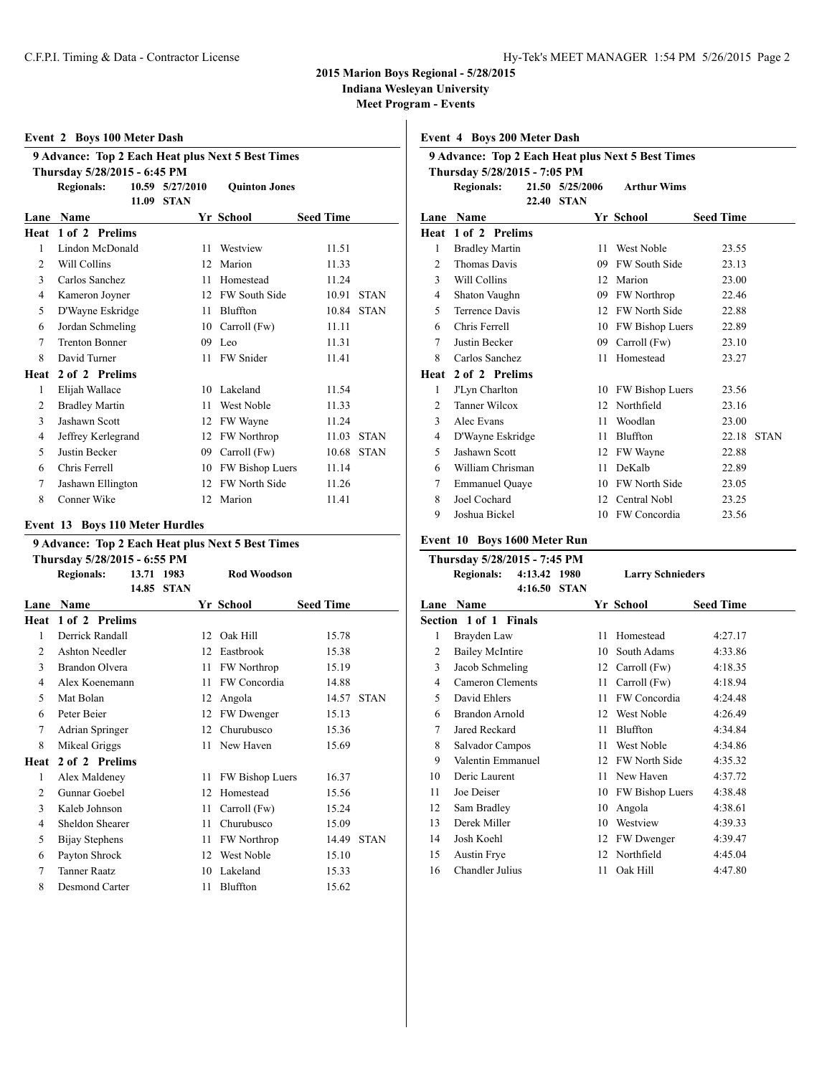### **2015 Marion Boys Regional - 5/28/2015**

**Indiana Wesleyan University**

**Meet Program - Events**

| <b>Event 2 Boys 100 Meter Dash</b>                           |                                                   |       |             |                      |                  |             |  |  |  |  |  |  |
|--------------------------------------------------------------|---------------------------------------------------|-------|-------------|----------------------|------------------|-------------|--|--|--|--|--|--|
|                                                              | 9 Advance: Top 2 Each Heat plus Next 5 Best Times |       |             |                      |                  |             |  |  |  |  |  |  |
| Thursday 5/28/2015 - 6:45 PM                                 |                                                   |       |             |                      |                  |             |  |  |  |  |  |  |
| 10.59 5/27/2010<br><b>Regionals:</b><br><b>Ouinton Jones</b> |                                                   |       |             |                      |                  |             |  |  |  |  |  |  |
|                                                              |                                                   | 11.09 | <b>STAN</b> |                      |                  |             |  |  |  |  |  |  |
| Lane                                                         | <b>Name</b>                                       |       |             | Yr School            | <b>Seed Time</b> |             |  |  |  |  |  |  |
| Heat                                                         | 1 of 2 Prelims                                    |       |             |                      |                  |             |  |  |  |  |  |  |
| 1                                                            | Lindon McDonald                                   |       | 11          | Westview             | 11.51            |             |  |  |  |  |  |  |
| $\overline{c}$                                               | Will Collins                                      |       | 12          | Marion               | 11.33            |             |  |  |  |  |  |  |
| 3                                                            | Carlos Sanchez                                    |       | 11          | Homestead            | 11.24            |             |  |  |  |  |  |  |
| 4                                                            | Kameron Joyner                                    |       | 12          | <b>FW South Side</b> | 10.91            | <b>STAN</b> |  |  |  |  |  |  |
| 5                                                            | D'Wayne Eskridge                                  |       | 11          | Bluffton             | 10.84            | <b>STAN</b> |  |  |  |  |  |  |
| 6                                                            | Jordan Schmeling                                  |       | 10          | Carroll (Fw)         | 11.11            |             |  |  |  |  |  |  |
| 7                                                            | <b>Trenton Bonner</b>                             |       |             | 09 Leo               | 11.31            |             |  |  |  |  |  |  |
| 8                                                            | David Turner                                      |       | 11          | <b>FW</b> Snider     | 11.41            |             |  |  |  |  |  |  |
|                                                              | Heat 2 of 2 Prelims                               |       |             |                      |                  |             |  |  |  |  |  |  |
| 1                                                            | Elijah Wallace                                    |       | 10          | Lakeland             | 11.54            |             |  |  |  |  |  |  |
| $\overline{c}$                                               | <b>Bradley Martin</b>                             |       | 11          | <b>West Noble</b>    | 11.33            |             |  |  |  |  |  |  |
| 3                                                            | Jashawn Scott                                     |       | 12          | FW Wayne             | 11.24            |             |  |  |  |  |  |  |
| 4                                                            | Jeffrey Kerlegrand                                |       | 12          | <b>FW Northrop</b>   | 11.03            | <b>STAN</b> |  |  |  |  |  |  |
| 5                                                            | Justin Becker                                     |       | 09          | Carroll (Fw)         | 10.68            | <b>STAN</b> |  |  |  |  |  |  |
| 6                                                            | Chris Ferrell                                     |       | 10          | FW Bishop Luers      | 11.14            |             |  |  |  |  |  |  |
| 7                                                            | Jashawn Ellington                                 |       | 12          | <b>FW North Side</b> | 11.26            |             |  |  |  |  |  |  |
| 8                                                            | Conner Wike                                       |       | 12.         | Marion               | 11.41            |             |  |  |  |  |  |  |
|                                                              |                                                   |       |             |                      |                  |             |  |  |  |  |  |  |

### **Event 13 Boys 110 Meter Hurdles**

|                | 9 Advance: Top 2 Each Heat plus Next 5 Best Times                                                             |  |  |    |                        |                  |             |  |  |  |  |
|----------------|---------------------------------------------------------------------------------------------------------------|--|--|----|------------------------|------------------|-------------|--|--|--|--|
|                | Thursday 5/28/2015 - 6:55 PM<br><b>Rod Woodson</b><br><b>Regionals:</b><br>13.71 1983<br>14.85<br><b>STAN</b> |  |  |    |                        |                  |             |  |  |  |  |
| Lane           | Name                                                                                                          |  |  |    | Yr School              | <b>Seed Time</b> |             |  |  |  |  |
| Heat           | 1 of 2 Prelims                                                                                                |  |  |    |                        |                  |             |  |  |  |  |
| 1              | Derrick Randall                                                                                               |  |  | 12 | Oak Hill               | 15.78            |             |  |  |  |  |
| 2              | <b>Ashton Needler</b>                                                                                         |  |  | 12 | Eastbrook              | 15.38            |             |  |  |  |  |
| 3              | <b>Brandon Olvera</b>                                                                                         |  |  | 11 | FW Northrop            | 15.19            |             |  |  |  |  |
| 4              | Alex Koenemann                                                                                                |  |  | 11 | FW Concordia           | 14.88            |             |  |  |  |  |
| 5              | Mat Bolan                                                                                                     |  |  | 12 | Angola                 | 14.57            | <b>STAN</b> |  |  |  |  |
| 6              | Peter Beier                                                                                                   |  |  | 12 | FW Dwenger             | 15.13            |             |  |  |  |  |
| 7              | Adrian Springer                                                                                               |  |  | 12 | Churubusco             | 15.36            |             |  |  |  |  |
| 8              | Mikeal Griggs                                                                                                 |  |  | 11 | New Haven              | 15.69            |             |  |  |  |  |
| Heat           | 2 of 2 Prelims                                                                                                |  |  |    |                        |                  |             |  |  |  |  |
| 1              | Alex Maldeney                                                                                                 |  |  | 11 | <b>FW Bishop Luers</b> | 16.37            |             |  |  |  |  |
| 2              | Gunnar Goebel                                                                                                 |  |  | 12 | Homestead              | 15.56            |             |  |  |  |  |
| 3              | Kaleb Johnson                                                                                                 |  |  | 11 | Carroll (Fw)           | 15.24            |             |  |  |  |  |
| $\overline{4}$ | Sheldon Shearer                                                                                               |  |  | 11 | Churubusco             | 15.09            |             |  |  |  |  |
| 5              | Bijay Stephens                                                                                                |  |  | 11 | FW Northrop            | 14.49            | <b>STAN</b> |  |  |  |  |
| 6              | Payton Shrock                                                                                                 |  |  | 12 | West Noble             | 15.10            |             |  |  |  |  |
| $\tau$         | <b>Tanner Raatz</b>                                                                                           |  |  | 10 | Lakeland               | 15.33            |             |  |  |  |  |
| 8              | Desmond Carter                                                                                                |  |  | 11 | Bluffton               | 15.62            |             |  |  |  |  |

### **Event 4 Boys 200 Meter Dash**

| 9 Advance: Top 2 Each Heat plus Next 5 Best Times |                              |       |                 |    |                      |                  |             |  |  |  |
|---------------------------------------------------|------------------------------|-------|-----------------|----|----------------------|------------------|-------------|--|--|--|
|                                                   | Thursday 5/28/2015 - 7:05 PM |       |                 |    |                      |                  |             |  |  |  |
|                                                   | <b>Regionals:</b>            |       | 21.50 5/25/2006 |    | <b>Arthur Wims</b>   |                  |             |  |  |  |
|                                                   |                              | 22.40 | <b>STAN</b>     |    |                      |                  |             |  |  |  |
| Lane                                              | <b>Name</b>                  |       |                 |    | Yr School            | <b>Seed Time</b> |             |  |  |  |
| Heat                                              | 1 of 2 Prelims               |       |                 |    |                      |                  |             |  |  |  |
| 1                                                 | <b>Bradley Martin</b>        |       |                 | 11 | West Noble           | 23.55            |             |  |  |  |
| 2                                                 | Thomas Davis                 |       |                 | 09 | <b>FW South Side</b> | 23.13            |             |  |  |  |
| 3                                                 | Will Collins                 |       |                 | 12 | Marion               | 23.00            |             |  |  |  |
| 4                                                 | Shaton Vaughn                |       |                 | 09 | FW Northrop          | 22.46            |             |  |  |  |
| 5                                                 | Terrence Davis               |       |                 | 12 | <b>FW North Side</b> | 22.88            |             |  |  |  |
| 6                                                 | Chris Ferrell                |       |                 | 10 | FW Bishop Luers      | 22.89            |             |  |  |  |
| 7                                                 | Justin Becker                |       |                 | 09 | Carroll (Fw)         | 23.10            |             |  |  |  |
| 8                                                 | Carlos Sanchez               |       |                 | 11 | Homestead            | 23.27            |             |  |  |  |
| Heat                                              | 2 of 2 Prelims               |       |                 |    |                      |                  |             |  |  |  |
| 1                                                 | J'Lyn Charlton               |       |                 | 10 | FW Bishop Luers      | 23.56            |             |  |  |  |
| 2                                                 | Tanner Wilcox                |       |                 | 12 | Northfield           | 23.16            |             |  |  |  |
| 3                                                 | Alec Evans                   |       |                 | 11 | Woodlan              | 23.00            |             |  |  |  |
| 4                                                 | D'Wayne Eskridge             |       |                 | 11 | Bluffton             | 22.18            | <b>STAN</b> |  |  |  |
| 5                                                 | Jashawn Scott                |       |                 | 12 | FW Wayne             | 22.88            |             |  |  |  |
| 6                                                 | William Chrisman             |       |                 | 11 | DeKalb               | 22.89            |             |  |  |  |
| 7                                                 | <b>Emmanuel Quaye</b>        |       |                 | 10 | FW North Side        | 23.05            |             |  |  |  |
| 8                                                 | Joel Cochard                 |       |                 | 12 | Central Nobl         | 23.25            |             |  |  |  |
| 9                                                 | Joshua Bickel                |       |                 | 10 | FW Concordia         | 23.56            |             |  |  |  |

### **Event 10 Boys 1600 Meter Run**

|                | Thursday 5/28/2015 - 7:45 PM |         |             |     |                         |                  |
|----------------|------------------------------|---------|-------------|-----|-------------------------|------------------|
|                | <b>Regionals:</b>            | 4:13.42 | 1980        |     | <b>Larry Schnieders</b> |                  |
|                |                              | 4:16.50 | <b>STAN</b> |     |                         |                  |
| Lane           | <b>Name</b>                  |         |             |     | Yr School               | <b>Seed Time</b> |
|                | Section 1 of 1 Finals        |         |             |     |                         |                  |
| 1              | Brayden Law                  |         |             | 11  | Homestead               | 4:27.17          |
| $\overline{2}$ | <b>Bailey McIntire</b>       |         |             | 10  | South Adams             | 4:33.86          |
| 3              | Jacob Schmeling              |         |             | 12  | Carroll (Fw)            | 4:18.35          |
| 4              | Cameron Clements             |         |             | 11  | Carroll (Fw)            | 4:18.94          |
| 5              | David Ehlers                 |         |             | 11  | FW Concordia            | 4:24.48          |
| 6              | Brandon Arnold               |         |             | 12  | <b>West Noble</b>       | 4:26.49          |
| 7              | Jared Reckard                |         |             | 11  | Bluffton                | 4:34.84          |
| 8              | Salvador Campos              |         |             | 11  | West Noble              | 4:34.86          |
| 9              | Valentin Emmanuel            |         |             | 12  | <b>FW North Side</b>    | 4:35.32          |
| 10             | Deric Laurent                |         |             | 11. | New Haven               | 4:37.72          |
| 11             | Joe Deiser                   |         |             | 10  | FW Bishop Luers         | 4:38.48          |
| 12             | Sam Bradley                  |         |             | 10  | Angola                  | 4:38.61          |
| 13             | Derek Miller                 |         |             | 10  | Westview                | 4:39.33          |
| 14             | Josh Koehl                   |         |             | 12  | FW Dwenger              | 4:39.47          |
| 15             | Austin Frye                  |         |             | 12  | Northfield              | 4:45.04          |
| 16             | Chandler Julius              |         |             | 11  | Oak Hill                | 4:47.80          |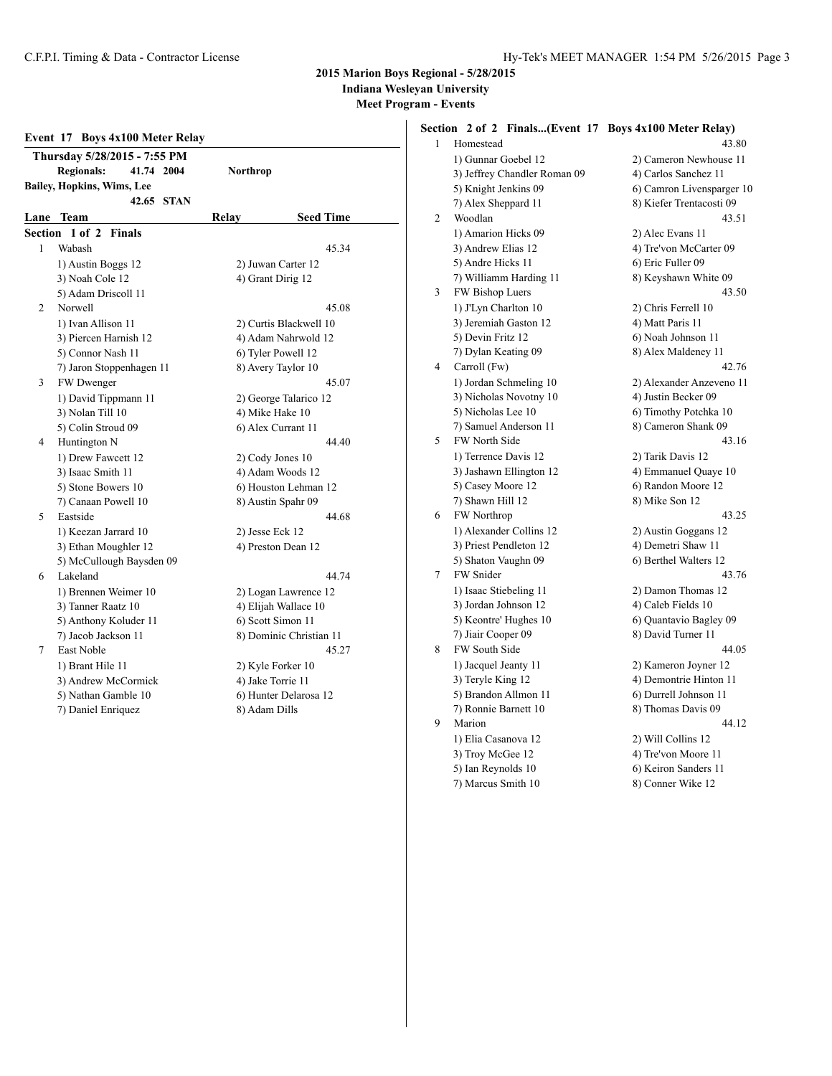### **2015 Marion Boys Regional - 5/28/2015 Indiana Wesleyan University**

**Meet Program - Events**

|         | Event 17 Boys 4x100 Meter Relay |               |            |               |                         |  |  |  |  |
|---------|---------------------------------|---------------|------------|---------------|-------------------------|--|--|--|--|
|         | Thursday 5/28/2015 - 7:55 PM    |               |            |               |                         |  |  |  |  |
|         | <b>Regionals:</b>               |               | 41.74 2004 | Northrop      |                         |  |  |  |  |
|         | Bailey, Hopkins, Wims, Lee      |               |            |               |                         |  |  |  |  |
|         |                                 |               | 42.65 STAN |               |                         |  |  |  |  |
|         | Lane Team                       |               |            | Relay         | <b>Seed Time</b>        |  |  |  |  |
| Section | $1$ of $2$                      | <b>Finals</b> |            |               |                         |  |  |  |  |
| 1       | Wabash                          |               |            |               | 45.34                   |  |  |  |  |
|         | 1) Austin Boggs 12              |               |            |               | 2) Juwan Carter 12      |  |  |  |  |
|         | 3) Noah Cole 12                 |               |            |               | 4) Grant Dirig 12       |  |  |  |  |
|         | 5) Adam Driscoll 11             |               |            |               |                         |  |  |  |  |
| 2       | Norwell                         |               |            |               | 45.08                   |  |  |  |  |
|         | 1) Ivan Allison 11              |               |            |               | 2) Curtis Blackwell 10  |  |  |  |  |
|         | 3) Piercen Harnish 12           |               |            |               | 4) Adam Nahrwold 12     |  |  |  |  |
|         | 5) Connor Nash 11               |               |            |               | 6) Tyler Powell 12      |  |  |  |  |
|         | 7) Jaron Stoppenhagen 11        |               |            |               | 8) Avery Taylor 10      |  |  |  |  |
| 3       | FW Dwenger                      |               |            |               | 45.07                   |  |  |  |  |
|         | 1) David Tippmann 11            |               |            |               | 2) George Talarico 12   |  |  |  |  |
|         | 3) Nolan Till 10                |               |            |               | 4) Mike Hake 10         |  |  |  |  |
|         | 5) Colin Stroud 09              |               |            |               | 6) Alex Currant 11      |  |  |  |  |
| 4       | Huntington N                    |               |            |               | 44.40                   |  |  |  |  |
|         | 1) Drew Fawcett 12              |               |            |               | 2) Cody Jones 10        |  |  |  |  |
|         | 3) Isaac Smith 11               |               |            |               | 4) Adam Woods 12        |  |  |  |  |
|         | 5) Stone Bowers 10              |               |            |               | 6) Houston Lehman 12    |  |  |  |  |
|         | 7) Canaan Powell 10             |               |            |               | 8) Austin Spahr 09      |  |  |  |  |
| 5       | Eastside                        |               |            |               | 44.68                   |  |  |  |  |
|         | 1) Keezan Jarrard 10            |               |            |               | 2) Jesse Eck 12         |  |  |  |  |
|         | 3) Ethan Moughler 12            |               |            |               | 4) Preston Dean 12      |  |  |  |  |
|         | 5) McCullough Baysden 09        |               |            |               |                         |  |  |  |  |
| 6       | Lakeland                        |               |            |               | 44.74                   |  |  |  |  |
|         | 1) Brennen Weimer 10            |               |            |               | 2) Logan Lawrence 12    |  |  |  |  |
|         | 3) Tanner Raatz 10              |               |            |               | 4) Elijah Wallace 10    |  |  |  |  |
|         | 5) Anthony Koluder 11           |               |            |               | 6) Scott Simon 11       |  |  |  |  |
|         | 7) Jacob Jackson 11             |               |            |               | 8) Dominic Christian 11 |  |  |  |  |
| 7       | East Noble                      |               |            |               | 45.27                   |  |  |  |  |
|         | 1) Brant Hile 11                |               |            |               | 2) Kyle Forker 10       |  |  |  |  |
|         | 3) Andrew McCormick             |               |            |               | 4) Jake Torrie 11       |  |  |  |  |
|         | 5) Nathan Gamble 10             |               |            |               | 6) Hunter Delarosa 12   |  |  |  |  |
|         | 7) Daniel Enriquez              |               |            | 8) Adam Dills |                         |  |  |  |  |

## **Section 2 of 2 Finals...(Event 17 Boys 4x100 Meter Relay)**

| 1 | Homestead                    | 43.80                     |
|---|------------------------------|---------------------------|
|   | 1) Gunnar Goebel 12          | 2) Cameron Newhouse 11    |
|   | 3) Jeffrey Chandler Roman 09 | 4) Carlos Sanchez 11      |
|   | 5) Knight Jenkins 09         | 6) Camron Livensparger 10 |
|   | 7) Alex Sheppard 11          | 8) Kiefer Trentacosti 09  |
| 2 | Woodlan                      | 43.51                     |
|   | 1) Amarion Hicks 09          | 2) Alec Evans 11          |
|   | 3) Andrew Elias 12           | 4) Tre'von McCarter 09    |
|   | 5) Andre Hicks 11            | 6) Eric Fuller 09         |
|   | 7) Williamm Harding 11       | 8) Keyshawn White 09      |
| 3 | FW Bishop Luers              | 43.50                     |
|   | 1) J'Lyn Charlton 10         | 2) Chris Ferrell 10       |
|   | 3) Jeremiah Gaston 12        | 4) Matt Paris 11          |
|   | 5) Devin Fritz 12            | 6) Noah Johnson 11        |
|   | 7) Dylan Keating 09          | 8) Alex Maldeney 11       |
| 4 | Carroll (Fw)                 | 42.76                     |
|   | 1) Jordan Schmeling 10       | 2) Alexander Anzeveno 11  |
|   | 3) Nicholas Novotny 10       | 4) Justin Becker 09       |
|   | 5) Nicholas Lee 10           | 6) Timothy Potchka 10     |
|   | 7) Samuel Anderson 11        | 8) Cameron Shank 09       |
| 5 | FW North Side                | 43.16                     |
|   | 1) Terrence Davis 12         | 2) Tarik Davis 12         |
|   | 3) Jashawn Ellington 12      | 4) Emmanuel Quaye 10      |
|   | 5) Casey Moore 12            | 6) Randon Moore 12        |
|   | 7) Shawn Hill 12             | 8) Mike Son 12            |
| 6 | <b>FW</b> Northrop           | 43.25                     |
|   | 1) Alexander Collins 12      | 2) Austin Goggans 12      |
|   | 3) Priest Pendleton 12       | 4) Demetri Shaw 11        |
|   | 5) Shaton Vaughn 09          | 6) Berthel Walters 12     |
| 7 | FW Snider                    | 43.76                     |
|   | 1) Isaac Stiebeling 11       | 2) Damon Thomas 12        |
|   | 3) Jordan Johnson 12         | 4) Caleb Fields 10        |
|   | 5) Keontre' Hughes 10        | 6) Quantavio Bagley 09    |
|   | 7) Jiair Cooper 09           | 8) David Turner 11        |
| 8 | FW South Side                | 44.05                     |
|   | 1) Jacquel Jeanty 11         | 2) Kameron Joyner 12      |
|   | 3) Teryle King 12            | 4) Demontrie Hinton 11    |
|   | 5) Brandon Allmon 11         | 6) Durrell Johnson 11     |
|   | 7) Ronnie Barnett 10         | 8) Thomas Davis 09        |
| 9 | Marion                       | 44.12                     |
|   | 1) Elia Casanova 12          | 2) Will Collins 12        |
|   | 3) Troy McGee 12             | 4) Tre'von Moore 11       |
|   | 5) Ian Reynolds 10           | 6) Keiron Sanders 11      |
|   | 7) Marcus Smith 10           | 8) Conner Wike 12         |
|   |                              |                           |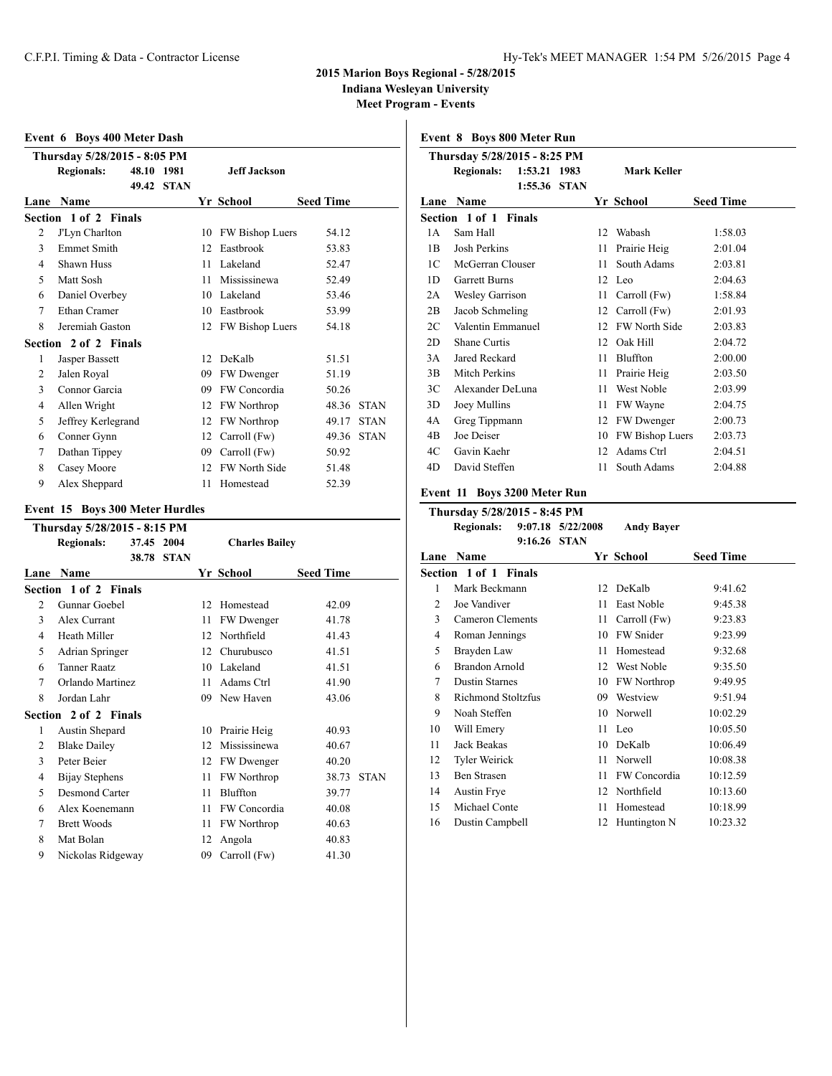### **2015 Marion Boys Regional - 5/28/2015**

**Indiana Wesleyan University**

**Meet Program - Events**

|                | Event 6 Boys 400 Meter Dash  |       |             |    |                      |                  |             |  |  |  |  |  |
|----------------|------------------------------|-------|-------------|----|----------------------|------------------|-------------|--|--|--|--|--|
|                | Thursday 5/28/2015 - 8:05 PM |       |             |    |                      |                  |             |  |  |  |  |  |
|                | <b>Regionals:</b>            | 48.10 | 1981        |    | Jeff Jackson         |                  |             |  |  |  |  |  |
|                |                              | 49.42 | <b>STAN</b> |    |                      |                  |             |  |  |  |  |  |
| Lane           | <b>Name</b>                  |       |             |    | Yr School            | <b>Seed Time</b> |             |  |  |  |  |  |
|                | Section 1 of 2 Finals        |       |             |    |                      |                  |             |  |  |  |  |  |
| 2              | J'Lyn Charlton               |       |             | 10 | FW Bishop Luers      | 54.12            |             |  |  |  |  |  |
| 3              | <b>Emmet Smith</b>           |       |             | 12 | Eastbrook            | 53.83            |             |  |  |  |  |  |
| 4              | <b>Shawn Huss</b>            |       |             | 11 | Lakeland             | 52.47            |             |  |  |  |  |  |
| $\varsigma$    | Matt Sosh                    |       |             | 11 | Mississinewa         | 52.49            |             |  |  |  |  |  |
| 6              | Daniel Overbey               |       |             | 10 | Lakeland             | 53.46            |             |  |  |  |  |  |
| $\tau$         | Ethan Cramer                 |       |             | 10 | Eastbrook            | 53.99            |             |  |  |  |  |  |
| 8              | Jeremiah Gaston              |       |             | 12 | FW Bishop Luers      | 54.18            |             |  |  |  |  |  |
|                | Section 2 of 2 Finals        |       |             |    |                      |                  |             |  |  |  |  |  |
| 1              | Jasper Bassett               |       |             | 12 | DeKalb               | 51.51            |             |  |  |  |  |  |
| $\overline{c}$ | Jalen Royal                  |       |             | 09 | FW Dwenger           | 51.19            |             |  |  |  |  |  |
| 3              | Connor Garcia                |       |             | 09 | FW Concordia         | 50.26            |             |  |  |  |  |  |
| 4              | Allen Wright                 |       |             | 12 | <b>FW Northrop</b>   | 48.36            | <b>STAN</b> |  |  |  |  |  |
| 5              | Jeffrey Kerlegrand           |       |             | 12 | <b>FW Northrop</b>   | 49.17            | <b>STAN</b> |  |  |  |  |  |
| 6              | Conner Gynn                  |       |             | 12 | Carroll (Fw)         | 49.36            | <b>STAN</b> |  |  |  |  |  |
| 7              | Dathan Tippey                |       |             | 09 | Carroll (Fw)         | 50.92            |             |  |  |  |  |  |
| 8              | Casey Moore                  |       |             | 12 | <b>FW North Side</b> | 51.48            |             |  |  |  |  |  |
| 9              | Alex Sheppard                |       |             | 11 | Homestead            | 52.39            |             |  |  |  |  |  |

### **Event 15 Boys 300 Meter Hurdles**

|      | Thursday 5/28/2015 - 8:15 PM |            |             |    |                       |                  |             |  |  |  |  |
|------|------------------------------|------------|-------------|----|-----------------------|------------------|-------------|--|--|--|--|
|      | <b>Regionals:</b>            | 37.45 2004 |             |    | <b>Charles Bailey</b> |                  |             |  |  |  |  |
|      |                              | 38.78      | <b>STAN</b> |    |                       |                  |             |  |  |  |  |
| Lane | <b>Name</b>                  |            |             |    | Yr School             | <b>Seed Time</b> |             |  |  |  |  |
|      | Section 1 of 2 Finals        |            |             |    |                       |                  |             |  |  |  |  |
| 2    | Gunnar Goebel                |            |             | 12 | Homestead             | 42.09            |             |  |  |  |  |
| 3    | Alex Currant                 |            |             | 11 | FW Dwenger            | 41.78            |             |  |  |  |  |
| 4    | Heath Miller                 |            |             | 12 | Northfield            | 41.43            |             |  |  |  |  |
| 5    | Adrian Springer              |            |             | 12 | Churubusco            | 41.51            |             |  |  |  |  |
| 6    | <b>Tanner Raatz</b>          |            |             | 10 | Lakeland              | 41.51            |             |  |  |  |  |
| 7    | Orlando Martinez             |            |             | 11 | Adams Ctrl            | 41.90            |             |  |  |  |  |
| 8    | Jordan Lahr                  |            |             | 09 | New Haven             | 43.06            |             |  |  |  |  |
|      | Section 2 of 2 Finals        |            |             |    |                       |                  |             |  |  |  |  |
| 1    | Austin Shepard               |            |             | 10 | Prairie Heig          | 40.93            |             |  |  |  |  |
| 2    | <b>Blake Dailey</b>          |            |             | 12 | Mississinewa          | 40.67            |             |  |  |  |  |
| 3    | Peter Beier                  |            |             | 12 | FW Dwenger            | 40.20            |             |  |  |  |  |
| 4    | Bijay Stephens               |            |             | 11 | <b>FW Northrop</b>    | 38.73            | <b>STAN</b> |  |  |  |  |
| 5    | Desmond Carter               |            |             | 11 | Bluffton              | 39.77            |             |  |  |  |  |
| 6    | Alex Koenemann               |            |             | 11 | FW Concordia          | 40.08            |             |  |  |  |  |
| 7    | <b>Brett Woods</b>           |            |             | 11 | FW Northrop           | 40.63            |             |  |  |  |  |
| 8    | Mat Bolan                    |            |             | 12 | Angola                | 40.83            |             |  |  |  |  |
| 9    | Nickolas Ridgeway            |            |             | 09 | Carroll (Fw)          | 41.30            |             |  |  |  |  |
|      |                              |            |             |    |                       |                  |             |  |  |  |  |

**Event 8 Boys 800 Meter Run**

|      | Thursday 5/28/2015 - 8:25 PM |         |                             |    |                    |                  |  |  |  |  |  |
|------|------------------------------|---------|-----------------------------|----|--------------------|------------------|--|--|--|--|--|
|      | <b>Regionals:</b>            | 1:55.36 | 1:53.21 1983<br><b>STAN</b> |    | <b>Mark Keller</b> |                  |  |  |  |  |  |
| Lane | <b>Name</b>                  |         |                             |    | Yr School          | <b>Seed Time</b> |  |  |  |  |  |
|      | Section 1 of 1 Finals        |         |                             |    |                    |                  |  |  |  |  |  |
| 1 A  | Sam Hall                     |         |                             | 12 | Wabash             | 1:58.03          |  |  |  |  |  |
| 1B   | Josh Perkins                 |         |                             | 11 | Prairie Heig       | 2:01.04          |  |  |  |  |  |
| 1C   | McGerran Clouser             |         |                             | 11 | South Adams        | 2:03.81          |  |  |  |  |  |
| 1D   | <b>Garrett Burns</b>         |         |                             | 12 | Leo                | 2:04.63          |  |  |  |  |  |
| 2A   | <b>Wesley Garrison</b>       |         |                             | 11 | Carroll (Fw)       | 1:58.84          |  |  |  |  |  |
| 2B   | Jacob Schmeling              |         |                             | 12 | Carroll (Fw)       | 2:01.93          |  |  |  |  |  |
| 2C   | Valentin Emmanuel            |         |                             | 12 | FW North Side      | 2:03.83          |  |  |  |  |  |
| 2D   | Shane Curtis                 |         |                             | 12 | Oak Hill           | 2:04.72          |  |  |  |  |  |
| 3A   | Jared Reckard                |         |                             | 11 | Bluffton           | 2:00.00          |  |  |  |  |  |
| 3B   | Mitch Perkins                |         |                             | 11 | Prairie Heig       | 2:03.50          |  |  |  |  |  |
| 3C   | Alexander DeLuna             |         |                             | 11 | West Noble         | 2:03.99          |  |  |  |  |  |
| 3D   | Joey Mullins                 |         |                             | 11 | FW Wayne           | 2:04.75          |  |  |  |  |  |
| 4A   | Greg Tippmann                |         |                             | 12 | FW Dwenger         | 2:00.73          |  |  |  |  |  |
| 4B   | Joe Deiser                   |         |                             | 10 | FW Bishop Luers    | 2:03.73          |  |  |  |  |  |
| 4C   | Gavin Kaehr                  |         |                             | 12 | Adams Ctrl         | 2:04.51          |  |  |  |  |  |
| 4D   | David Steffen                |         |                             | 11 | South Adams        | 2:04.88          |  |  |  |  |  |

# **Event 11 Boys 3200 Meter Run**

| Thursday 5/28/2015 - 8:45 PM |                              |                       |                   |                  |  |  |  |
|------------------------------|------------------------------|-----------------------|-------------------|------------------|--|--|--|
|                              | <b>Regionals:</b>            | $9:07.18$ $5/22/2008$ | <b>Andy Bayer</b> |                  |  |  |  |
|                              | 9:16.26                      | <b>STAN</b>           |                   |                  |  |  |  |
| Lane                         | Name                         |                       | Yr School         | <b>Seed Time</b> |  |  |  |
|                              | <b>Section 1 of 1 Finals</b> |                       |                   |                  |  |  |  |
| 1                            | Mark Beckmann                | 12                    | DeKalb            | 9:41.62          |  |  |  |
| 2                            | Joe Vandiver                 | 11                    | <b>East Noble</b> | 9:45.38          |  |  |  |
| 3                            | Cameron Clements             | 11                    | Carroll (Fw)      | 9:23.83          |  |  |  |
| 4                            | Roman Jennings               | 10                    | FW Snider         | 9:23.99          |  |  |  |
| 5                            | Brayden Law                  | 11                    | Homestead         | 9:32.68          |  |  |  |
| 6                            | Brandon Arnold               | 12                    | West Noble        | 9:35.50          |  |  |  |
| 7                            | <b>Dustin Starnes</b>        | 10                    | FW Northrop       | 9:49.95          |  |  |  |
| 8                            | <b>Richmond Stoltzfus</b>    | 09                    | Westview          | 9:51.94          |  |  |  |
| 9                            | Noah Steffen                 | 10                    | Norwell           | 10:02.29         |  |  |  |
| 10                           | Will Emery                   | 11                    | Leo               | 10:05.50         |  |  |  |
| 11                           | Jack Beakas                  | 10                    | DeKalb            | 10:06.49         |  |  |  |
| 12                           | Tyler Weirick                | 11                    | Norwell           | 10:08.38         |  |  |  |
| 13                           | <b>Ben Strasen</b>           | 11                    | FW Concordia      | 10:12.59         |  |  |  |
| 14                           | <b>Austin Frye</b>           | 12                    | Northfield        | 10:13.60         |  |  |  |
| 15                           | Michael Conte                | 11                    | Homestead         | 10:18.99         |  |  |  |
| 16                           | Dustin Campbell              | 12                    | Huntington N      | 10:23.32         |  |  |  |
|                              |                              |                       |                   |                  |  |  |  |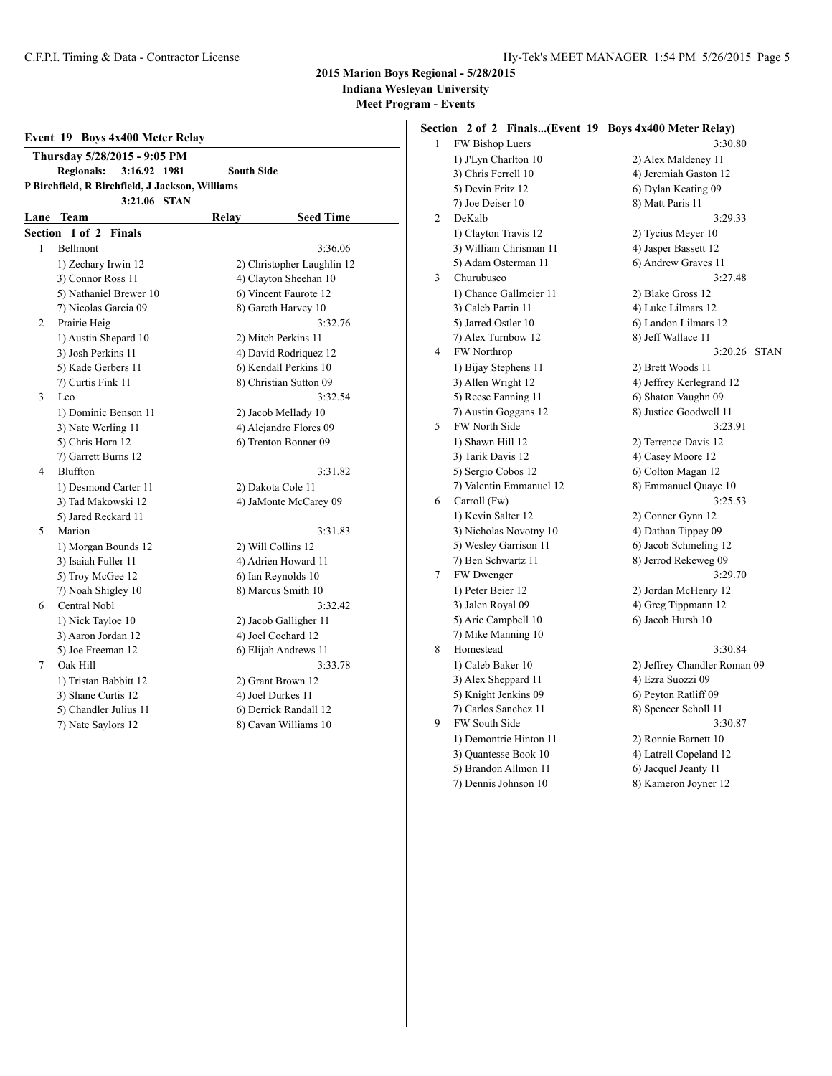### **2015 Marion Boys Regional - 5/28/2015 Indiana Wesleyan University**

**Meet Program - Events**

|              | Event 19 Boys 4x400 Meter Relay                 |                            |                        |  |  |
|--------------|-------------------------------------------------|----------------------------|------------------------|--|--|
|              | Thursday 5/28/2015 - 9:05 PM                    |                            |                        |  |  |
|              | <b>Regionals:</b><br>3:16.92 1981               | <b>South Side</b>          |                        |  |  |
|              | P Birchfield, R Birchfield, J Jackson, Williams |                            |                        |  |  |
|              | 3:21.06 STAN                                    |                            |                        |  |  |
| Lane         | <b>Team</b>                                     | Relay                      | <b>Seed Time</b>       |  |  |
|              | Section 1 of 2<br><b>Finals</b>                 |                            |                        |  |  |
| $\mathbf{1}$ | <b>Bellmont</b>                                 |                            | 3:36.06                |  |  |
|              | 1) Zechary Irwin 12                             | 2) Christopher Laughlin 12 |                        |  |  |
|              | 3) Connor Ross 11                               |                            | 4) Clayton Sheehan 10  |  |  |
|              | 5) Nathaniel Brewer 10                          |                            | 6) Vincent Faurote 12  |  |  |
|              | 7) Nicolas Garcia 09                            |                            | 8) Gareth Harvey 10    |  |  |
| 2            | Prairie Heig                                    |                            | 3:32.76                |  |  |
|              | 1) Austin Shepard 10                            |                            | 2) Mitch Perkins 11    |  |  |
|              | 3) Josh Perkins 11                              |                            | 4) David Rodriguez 12  |  |  |
|              | 5) Kade Gerbers 11                              | 6) Kendall Perkins 10      |                        |  |  |
|              | 7) Curtis Fink 11                               |                            | 8) Christian Sutton 09 |  |  |
| 3            | Leo                                             | 3:32.54                    |                        |  |  |
|              | 1) Dominic Benson 11                            |                            | 2) Jacob Mellady 10    |  |  |
|              | 3) Nate Werling 11                              |                            | 4) Alejandro Flores 09 |  |  |
|              | 5) Chris Horn 12                                | 6) Trenton Bonner 09       |                        |  |  |
|              | 7) Garrett Burns 12                             |                            |                        |  |  |
| 4            | Bluffton                                        |                            | 3:31.82                |  |  |
|              | 1) Desmond Carter 11                            |                            | 2) Dakota Cole 11      |  |  |
|              | 3) Tad Makowski 12                              | 4) JaMonte McCarey 09      |                        |  |  |
|              | 5) Jared Reckard 11                             |                            |                        |  |  |
| 5            | Marion                                          |                            | 3:31.83                |  |  |
|              | 1) Morgan Bounds 12                             |                            | 2) Will Collins 12     |  |  |
|              | 3) Isaiah Fuller 11                             | 4) Adrien Howard 11        |                        |  |  |
|              | 5) Troy McGee 12                                |                            | 6) Ian Reynolds 10     |  |  |
|              | 7) Noah Shigley 10                              | 8) Marcus Smith 10         |                        |  |  |
| 6            | Central Nobl                                    |                            | 3:32.42                |  |  |
|              | 1) Nick Tayloe 10                               |                            | 2) Jacob Galligher 11  |  |  |
|              | 3) Aaron Jordan 12                              | 4) Joel Cochard 12         |                        |  |  |
|              | 5) Joe Freeman 12                               |                            | 6) Elijah Andrews 11   |  |  |
| 7            | Oak Hill                                        |                            | 3:33.78                |  |  |
|              | 1) Tristan Babbitt 12                           |                            | 2) Grant Brown 12      |  |  |
|              | 3) Shane Curtis 12                              |                            | 4) Joel Durkes 11      |  |  |
|              | 5) Chandler Julius 11                           |                            | 6) Derrick Randall 12  |  |  |
|              | 7) Nate Saylors 12                              |                            | 8) Cavan Williams 10   |  |  |

## **Section 2 of 2 Finals...(Event 19 Boys 4x400 Meter Relay)**

| 1 | FW Bishop Luers         | 3:30.80                      |
|---|-------------------------|------------------------------|
|   | 1) J'Lyn Charlton 10    | 2) Alex Maldeney 11          |
|   | 3) Chris Ferrell 10     | 4) Jeremiah Gaston 12        |
|   | 5) Devin Fritz 12       | 6) Dylan Keating 09          |
|   | 7) Joe Deiser 10        | 8) Matt Paris 11             |
| 2 | DeKalb                  | 3:29.33                      |
|   | 1) Clayton Travis 12    | 2) Tycius Meyer 10           |
|   | 3) William Chrisman 11  | 4) Jasper Bassett 12         |
|   | 5) Adam Osterman 11     | 6) Andrew Graves 11          |
| 3 | Churubusco              | 3:27.48                      |
|   | 1) Chance Gallmeier 11  | 2) Blake Gross 12            |
|   | 3) Caleb Partin 11      | 4) Luke Lilmars 12           |
|   | 5) Jarred Ostler 10     | 6) Landon Lilmars 12         |
|   | 7) Alex Turnbow 12      | 8) Jeff Wallace 11           |
| 4 | FW Northrop             | 3:20.26<br><b>STAN</b>       |
|   | 1) Bijay Stephens 11    | 2) Brett Woods 11            |
|   | 3) Allen Wright 12      | 4) Jeffrey Kerlegrand 12     |
|   | 5) Reese Fanning 11     | 6) Shaton Vaughn 09          |
|   | 7) Austin Goggans 12    | 8) Justice Goodwell 11       |
| 5 | FW North Side           | 3:23.91                      |
|   | 1) Shawn Hill 12        | 2) Terrence Davis 12         |
|   | 3) Tarik Davis 12       | 4) Casey Moore 12            |
|   | 5) Sergio Cobos 12      | 6) Colton Magan 12           |
|   | 7) Valentin Emmanuel 12 | 8) Emmanuel Quaye 10         |
| 6 | Carroll (Fw)            | 3:25.53                      |
|   | 1) Kevin Salter 12      | 2) Conner Gynn 12            |
|   | 3) Nicholas Novotny 10  | 4) Dathan Tippey 09          |
|   | 5) Wesley Garrison 11   | 6) Jacob Schmeling 12        |
|   | 7) Ben Schwartz 11      | 8) Jerrod Rekeweg 09         |
| 7 | FW Dwenger              | 3:29.70                      |
|   | 1) Peter Beier 12       | 2) Jordan McHenry 12         |
|   | 3) Jalen Royal 09       | 4) Greg Tippmann 12          |
|   | 5) Aric Campbell 10     | 6) Jacob Hursh 10            |
|   | 7) Mike Manning 10      |                              |
| 8 | Homestead               | 3:30.84                      |
|   | 1) Caleb Baker 10       | 2) Jeffrey Chandler Roman 09 |
|   | 3) Alex Sheppard 11     | 4) Ezra Suozzi 09            |
|   | 5) Knight Jenkins 09    | 6) Peyton Ratliff 09         |
|   | 7) Carlos Sanchez 11    | 8) Spencer Scholl 11         |
| 9 | <b>FW South Side</b>    | 3:30.87                      |
|   | 1) Demontrie Hinton 11  | 2) Ronnie Barnett 10         |
|   | 3) Quantesse Book 10    | 4) Latrell Copeland 12       |
|   | 5) Brandon Allmon 11    | 6) Jacquel Jeanty 11         |
|   | 7) Dennis Johnson 10    | 8) Kameron Joyner 12         |
|   |                         |                              |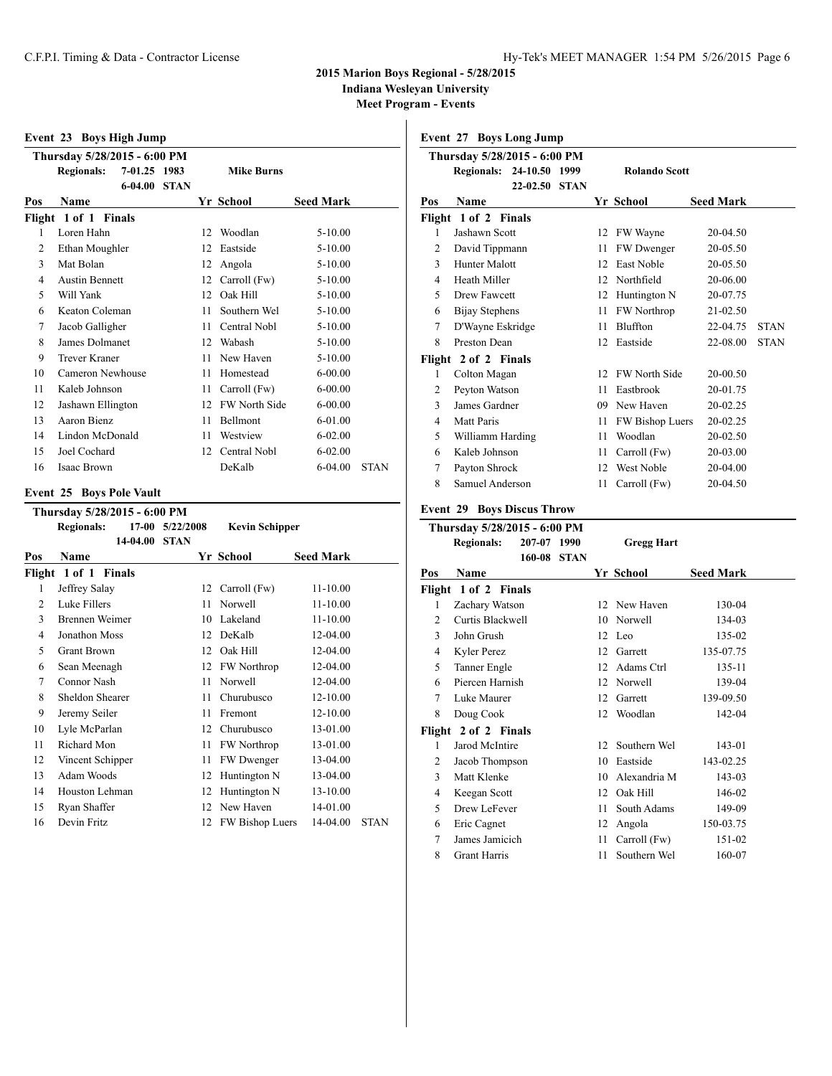### **2015 Marion Boys Regional - 5/28/2015**

**Indiana Wesleyan University**

**Meet Program - Events**

|     | Event 23 Boys High Jump      |              |             |    |                   |                  |             |
|-----|------------------------------|--------------|-------------|----|-------------------|------------------|-------------|
|     | Thursday 5/28/2015 - 6:00 PM |              |             |    |                   |                  |             |
|     | <b>Regionals:</b>            | 7-01.25 1983 |             |    | <b>Mike Burns</b> |                  |             |
|     |                              | $6 - 04.00$  | <b>STAN</b> |    |                   |                  |             |
| Pos | Name                         |              |             |    | Yr School         | <b>Seed Mark</b> |             |
|     | Flight 1 of 1 Finals         |              |             |    |                   |                  |             |
| 1   | Loren Hahn                   |              |             | 12 | Woodlan           | $5 - 10.00$      |             |
| 2   | Ethan Moughler               |              |             | 12 | Eastside          | $5 - 10.00$      |             |
| 3   | Mat Bolan                    |              |             | 12 | Angola            | $5 - 10.00$      |             |
| 4   | <b>Austin Bennett</b>        |              |             | 12 | Carroll (Fw)      | $5 - 10.00$      |             |
| 5   | Will Yank                    |              |             | 12 | Oak Hill          | $5 - 10.00$      |             |
| 6   | Keaton Coleman               |              |             | 11 | Southern Wel      | $5 - 10.00$      |             |
| 7   | Jacob Galligher              |              |             | 11 | Central Nobl      | $5 - 10.00$      |             |
| 8   | James Dolmanet               |              |             | 12 | Wabash            | $5 - 10.00$      |             |
| 9   | Trever Kraner                |              |             | 11 | New Haven         | $5 - 10.00$      |             |
| 10  | Cameron Newhouse             |              |             | 11 | Homestead         | $6 - 00.00$      |             |
| 11  | Kaleb Johnson                |              |             | 11 | Carroll (Fw)      | $6 - 00.00$      |             |
| 12  | Jashawn Ellington            |              |             | 12 | FW North Side     | $6 - 00.00$      |             |
| 13  | Aaron Bienz                  |              |             | 11 | Bellmont          | 6-01.00          |             |
| 14  | Lindon McDonald              |              |             | 11 | Westview          | $6 - 02.00$      |             |
| 15  | Joel Cochard                 |              |             | 12 | Central Nobl      | $6 - 02.00$      |             |
| 16  | <b>Isaac Brown</b>           |              |             |    | DeKalb            | $6 - 04.00$      | <b>STAN</b> |

### **Event 25 Boys Pole Vault**

|                | Thursday 5/28/2015 - 6:00 PM |          |             |                        |                  |             |
|----------------|------------------------------|----------|-------------|------------------------|------------------|-------------|
|                | <b>Regionals:</b>            | $17-00$  | 5/22/2008   | <b>Kevin Schipper</b>  |                  |             |
|                |                              | 14-04.00 | <b>STAN</b> |                        |                  |             |
| Pos            | Name                         |          |             | Yr School              | <b>Seed Mark</b> |             |
| Flight         | 1 of 1 Finals                |          |             |                        |                  |             |
| 1              | Jeffrey Salay                |          | 12          | Carroll (Fw)           | $11 - 10.00$     |             |
| $\overline{c}$ | Luke Fillers                 |          | 11          | Norwell                | $11 - 10.00$     |             |
| 3              | Brennen Weimer               |          | 10          | Lakeland               | $11 - 10.00$     |             |
| 4              | Jonathon Moss                |          | 12          | DeKalb                 | 12-04.00         |             |
| 5              | <b>Grant Brown</b>           |          | 12          | Oak Hill               | 12-04.00         |             |
| 6              | Sean Meenagh                 |          | 12          | <b>FW Northrop</b>     | 12-04.00         |             |
| 7              | Connor Nash                  |          | 11          | Norwell                | 12-04.00         |             |
| 8              | Sheldon Shearer              |          | 11          | Churubusco             | 12-10.00         |             |
| 9              | Jeremy Seiler                |          | 11          | Fremont                | 12-10.00         |             |
| 10             | Lyle McParlan                |          | 12          | Churubusco             | 13-01.00         |             |
| 11             | Richard Mon                  |          | 11          | <b>FW</b> Northrop     | 13-01.00         |             |
| 12             | Vincent Schipper             |          | 11          | FW Dwenger             | 13-04.00         |             |
| 13             | Adam Woods                   |          | 12          | Huntington N           | 13-04.00         |             |
| 14             | Houston Lehman               |          | 12          | Huntington N           | 13-10.00         |             |
| 15             | Ryan Shaffer                 |          | 12          | New Haven              | 14-01.00         |             |
| 16             | Devin Fritz                  |          | 12          | <b>FW Bishop Luers</b> | 14-04.00         | <b>STAN</b> |
|                |                              |          |             |                        |                  |             |

### **Event 27 Boys Long Jump**

|                | Thursday 5/28/2015 - 6:00 PM |              |             |    |                      |                  |             |
|----------------|------------------------------|--------------|-------------|----|----------------------|------------------|-------------|
|                | <b>Regionals:</b>            | 24-10.50     | 1999        |    | <b>Rolando Scott</b> |                  |             |
|                |                              | $22 - 02.50$ | <b>STAN</b> |    |                      |                  |             |
| Pos            | <b>Name</b>                  |              |             |    | Yr School            | <b>Seed Mark</b> |             |
|                | Flight 1 of 2 Finals         |              |             |    |                      |                  |             |
| 1              | Jashawn Scott                |              |             | 12 | FW Wayne             | 20-04.50         |             |
| $\overline{2}$ | David Tippmann               |              |             | 11 | <b>FW</b> Dwenger    | 20-05.50         |             |
| 3              | Hunter Malott                |              |             | 12 | <b>East Noble</b>    | 20-05.50         |             |
| 4              | Heath Miller                 |              |             | 12 | Northfield           | 20-06.00         |             |
| 5              | <b>Drew Fawcett</b>          |              |             | 12 | Huntington N         | 20-07.75         |             |
| 6              | Bijay Stephens               |              |             | 11 | FW Northrop          | 21-02.50         |             |
| 7              | D'Wayne Eskridge             |              |             | 11 | Bluffton             | 22-04.75         | <b>STAN</b> |
| 8              | Preston Dean                 |              |             | 12 | Eastside             | 22-08.00         | <b>STAN</b> |
|                | Flight 2 of 2 Finals         |              |             |    |                      |                  |             |
| 1              | Colton Magan                 |              |             | 12 | <b>FW North Side</b> | 20-00.50         |             |
| 2              | Peyton Watson                |              |             | 11 | Eastbrook            | 20-01.75         |             |
| 3              | James Gardner                |              |             | 09 | New Haven            | 20-02.25         |             |
| 4              | Matt Paris                   |              |             | 11 | FW Bishop Luers      | 20-02.25         |             |
| 5              | Williamm Harding             |              |             | 11 | Woodlan              | 20-02.50         |             |
| 6              | Kaleb Johnson                |              |             | 11 | Carroll (Fw)         | 20-03.00         |             |
| 7              | Payton Shrock                |              |             | 12 | West Noble           | 20-04.00         |             |
| 8              | Samuel Anderson              |              |             | 11 | Carroll (Fw)         | 20-04.50         |             |

### **Event 29 Boys Discus Throw**

|        | Thursday 5/28/2015 - 6:00 PM |        |             |    |                   |                  |
|--------|------------------------------|--------|-------------|----|-------------------|------------------|
|        | <b>Regionals:</b>            | 207-07 | 1990        |    | <b>Gregg Hart</b> |                  |
|        |                              | 160-08 | <b>STAN</b> |    |                   |                  |
| Pos    | Name                         |        |             |    | Yr School         | <b>Seed Mark</b> |
|        | Flight 1 of 2 Finals         |        |             |    |                   |                  |
| 1      | Zachary Watson               |        |             |    | 12 New Haven      | 130-04           |
| 2      | Curtis Blackwell             |        |             | 10 | Norwell           | 134-03           |
| 3      | John Grush                   |        |             |    | 12 Leo            | 135-02           |
| 4      | Kyler Perez                  |        |             | 12 | Garrett           | 135-07.75        |
| 5      | Tanner Engle                 |        |             | 12 | Adams Ctrl        | 135-11           |
| 6      | Piercen Harnish              |        |             | 12 | Norwell           | 139-04           |
| 7      | Luke Maurer                  |        |             | 12 | Garrett           | 139-09.50        |
| 8      | Doug Cook                    |        |             | 12 | Woodlan           | 142-04           |
| Flight | 2 of 2 Finals                |        |             |    |                   |                  |
| 1      | Jarod McIntire               |        |             | 12 | Southern Wel      | 143-01           |
| 2      | Jacob Thompson               |        |             | 10 | Eastside          | 143-02.25        |
| 3      | Matt Klenke                  |        |             | 10 | Alexandria M      | 143-03           |
| 4      | Keegan Scott                 |        |             | 12 | Oak Hill          | 146-02           |
| 5      | Drew LeFever                 |        |             | 11 | South Adams       | 149-09           |
| 6      | Eric Cagnet                  |        |             | 12 | Angola            | 150-03.75        |
| 7      | James Jamicich               |        |             | 11 | Carroll (Fw)      | 151-02           |
| 8      | <b>Grant Harris</b>          |        |             | 11 | Southern Wel      | 160-07           |